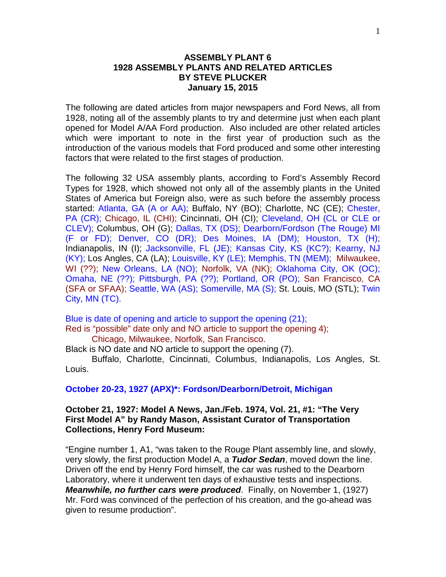## **ASSEMBLY PLANT 6 1928 ASSEMBLY PLANTS AND RELATED ARTICLES BY STEVE PLUCKER January 15, 2015**

The following are dated articles from major newspapers and Ford News, all from 1928, noting all of the assembly plants to try and determine just when each plant opened for Model A/AA Ford production. Also included are other related articles which were important to note in the first year of production such as the introduction of the various models that Ford produced and some other interesting factors that were related to the first stages of production.

The following 32 USA assembly plants, according to Ford's Assembly Record Types for 1928, which showed not only all of the assembly plants in the United States of America but Foreign also, were as such before the assembly process started: Atlanta, GA (A or AA); Buffalo, NY (BO); Charlotte, NC (CE); Chester, PA (CR); Chicago, IL (CHI); Cincinnati, OH (CI); Cleveland, OH (CL or CLE or CLEV); Columbus, OH (G); Dallas, TX (DS); Dearborn/Fordson (The Rouge) MI (F or FD); Denver, CO (DR); Des Moines, IA (DM); Houston, TX (H); Indianapolis, IN (I); Jacksonville, FL (JE); Kansas City, KS (KC?); Kearny, NJ (KY); Los Angles, CA (LA); Louisville, KY (LE); Memphis, TN (MEM); Milwaukee, WI (??); New Orleans, LA (NO); Norfolk, VA (NK); Oklahoma City, OK (OC); Omaha, NE (??); Pittsburgh, PA (??); Portland, OR (PO); San Francisco, CA (SFA or SFAA); Seattle, WA (AS); Somerville, MA (S); St. Louis, MO (STL); Twin City, MN (TC).

Blue is date of opening and article to support the opening (21); Red is "possible" date only and NO article to support the opening 4); Chicago, Milwaukee, Norfolk, San Francisco.

Black is NO date and NO article to support the opening (7).

Buffalo, Charlotte, Cincinnati, Columbus, Indianapolis, Los Angles, St. Louis.

### **October 20-23, 1927 (APX)\*: Fordson/Dearborn/Detroit, Michigan**

## **October 21, 1927: Model A News, Jan./Feb. 1974, Vol. 21, #1: "The Very First Model A" by Randy Mason, Assistant Curator of Transportation Collections, Henry Ford Museum:**

"Engine number 1, A1, "was taken to the Rouge Plant assembly line, and slowly, very slowly, the first production Model A, a *Tudor Sedan*, moved down the line. Driven off the end by Henry Ford himself, the car was rushed to the Dearborn Laboratory, where it underwent ten days of exhaustive tests and inspections. *Meanwhile, no further cars were produced*. Finally, on November 1, (1927) Mr. Ford was convinced of the perfection of his creation, and the go-ahead was given to resume production".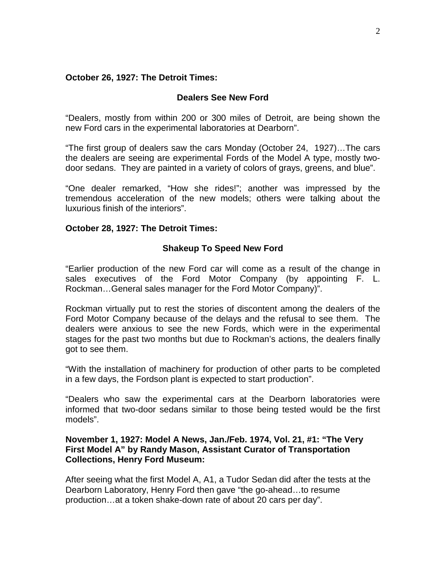## **October 26, 1927: The Detroit Times:**

### **Dealers See New Ford**

"Dealers, mostly from within 200 or 300 miles of Detroit, are being shown the new Ford cars in the experimental laboratories at Dearborn".

"The first group of dealers saw the cars Monday (October 24, 1927)…The cars the dealers are seeing are experimental Fords of the Model A type, mostly twodoor sedans. They are painted in a variety of colors of grays, greens, and blue".

"One dealer remarked, "How she rides!"; another was impressed by the tremendous acceleration of the new models; others were talking about the luxurious finish of the interiors".

### **October 28, 1927: The Detroit Times:**

# **Shakeup To Speed New Ford**

"Earlier production of the new Ford car will come as a result of the change in sales executives of the Ford Motor Company (by appointing F. L. Rockman…General sales manager for the Ford Motor Company)".

Rockman virtually put to rest the stories of discontent among the dealers of the Ford Motor Company because of the delays and the refusal to see them. The dealers were anxious to see the new Fords, which were in the experimental stages for the past two months but due to Rockman's actions, the dealers finally got to see them.

"With the installation of machinery for production of other parts to be completed in a few days, the Fordson plant is expected to start production".

"Dealers who saw the experimental cars at the Dearborn laboratories were informed that two-door sedans similar to those being tested would be the first models".

## **November 1, 1927: Model A News, Jan./Feb. 1974, Vol. 21, #1: "The Very First Model A" by Randy Mason, Assistant Curator of Transportation Collections, Henry Ford Museum:**

After seeing what the first Model A, A1, a Tudor Sedan did after the tests at the Dearborn Laboratory, Henry Ford then gave "the go-ahead…to resume production…at a token shake-down rate of about 20 cars per day".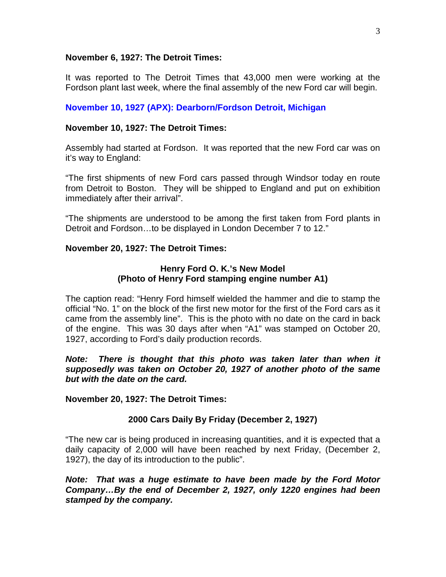#### **November 6, 1927: The Detroit Times:**

It was reported to The Detroit Times that 43,000 men were working at the Fordson plant last week, where the final assembly of the new Ford car will begin.

## **November 10, 1927 (APX): Dearborn/Fordson Detroit, Michigan**

### **November 10, 1927: The Detroit Times:**

Assembly had started at Fordson. It was reported that the new Ford car was on it's way to England:

"The first shipments of new Ford cars passed through Windsor today en route from Detroit to Boston. They will be shipped to England and put on exhibition immediately after their arrival".

"The shipments are understood to be among the first taken from Ford plants in Detroit and Fordson…to be displayed in London December 7 to 12."

## **November 20, 1927: The Detroit Times:**

# **Henry Ford O. K.'s New Model (Photo of Henry Ford stamping engine number A1)**

The caption read: "Henry Ford himself wielded the hammer and die to stamp the official "No. 1" on the block of the first new motor for the first of the Ford cars as it came from the assembly line". This is the photo with no date on the card in back of the engine. This was 30 days after when "A1" was stamped on October 20, 1927, according to Ford's daily production records.

*Note: There is thought that this photo was taken later than when it supposedly was taken on October 20, 1927 of another photo of the same but with the date on the card.*

**November 20, 1927: The Detroit Times:**

# **2000 Cars Daily By Friday (December 2, 1927)**

"The new car is being produced in increasing quantities, and it is expected that a daily capacity of 2,000 will have been reached by next Friday, (December 2, 1927), the day of its introduction to the public".

*Note: That was a huge estimate to have been made by the Ford Motor Company…By the end of December 2, 1927, only 1220 engines had been stamped by the company.*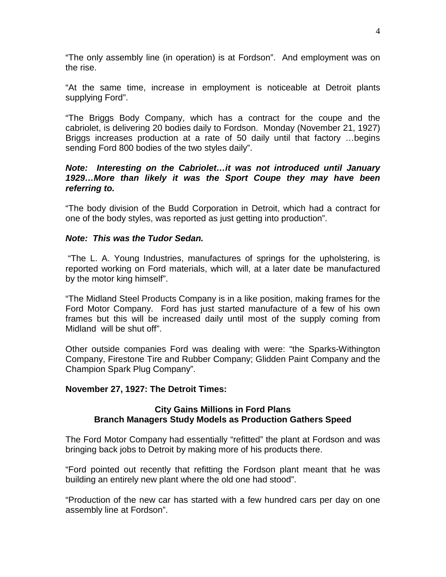"The only assembly line (in operation) is at Fordson". And employment was on the rise.

"At the same time, increase in employment is noticeable at Detroit plants supplying Ford".

"The Briggs Body Company, which has a contract for the coupe and the cabriolet, is delivering 20 bodies daily to Fordson. Monday (November 21, 1927) Briggs increases production at a rate of 50 daily until that factory …begins sending Ford 800 bodies of the two styles daily".

# *Note: Interesting on the Cabriolet…it was not introduced until January 1929…More than likely it was the Sport Coupe they may have been referring to.*

"The body division of the Budd Corporation in Detroit, which had a contract for one of the body styles, was reported as just getting into production".

# *Note: This was the Tudor Sedan.*

"The L. A. Young Industries, manufactures of springs for the upholstering, is reported working on Ford materials, which will, at a later date be manufactured by the motor king himself".

"The Midland Steel Products Company is in a like position, making frames for the Ford Motor Company. Ford has just started manufacture of a few of his own frames but this will be increased daily until most of the supply coming from Midland will be shut off".

Other outside companies Ford was dealing with were: "the Sparks-Withington Company, Firestone Tire and Rubber Company; Glidden Paint Company and the Champion Spark Plug Company".

### **November 27, 1927: The Detroit Times:**

## **City Gains Millions in Ford Plans Branch Managers Study Models as Production Gathers Speed**

The Ford Motor Company had essentially "refitted" the plant at Fordson and was bringing back jobs to Detroit by making more of his products there.

"Ford pointed out recently that refitting the Fordson plant meant that he was building an entirely new plant where the old one had stood".

"Production of the new car has started with a few hundred cars per day on one assembly line at Fordson".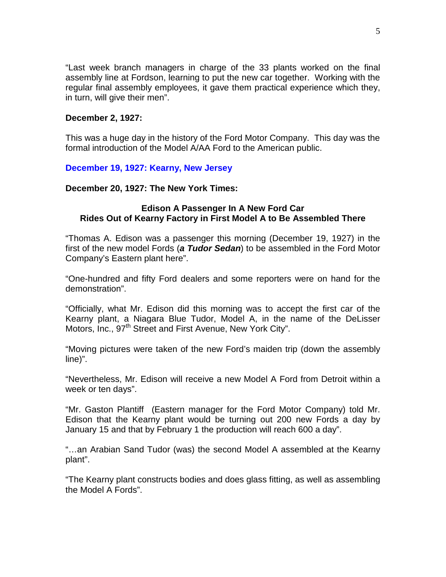"Last week branch managers in charge of the 33 plants worked on the final assembly line at Fordson, learning to put the new car together. Working with the regular final assembly employees, it gave them practical experience which they, in turn, will give their men".

### **December 2, 1927:**

This was a huge day in the history of the Ford Motor Company. This day was the formal introduction of the Model A/AA Ford to the American public.

## **December 19, 1927: Kearny, New Jersey**

**December 20, 1927: The New York Times:**

### **Edison A Passenger In A New Ford Car Rides Out of Kearny Factory in First Model A to Be Assembled There**

"Thomas A. Edison was a passenger this morning (December 19, 1927) in the first of the new model Fords (*a Tudor Sedan*) to be assembled in the Ford Motor Company's Eastern plant here".

"One-hundred and fifty Ford dealers and some reporters were on hand for the demonstration".

"Officially, what Mr. Edison did this morning was to accept the first car of the Kearny plant, a Niagara Blue Tudor, Model A, in the name of the DeLisser Motors, Inc., 97<sup>th</sup> Street and First Avenue, New York City".

"Moving pictures were taken of the new Ford's maiden trip (down the assembly line)".

"Nevertheless, Mr. Edison will receive a new Model A Ford from Detroit within a week or ten days".

"Mr. Gaston Plantiff (Eastern manager for the Ford Motor Company) told Mr. Edison that the Kearny plant would be turning out 200 new Fords a day by January 15 and that by February 1 the production will reach 600 a day".

"…an Arabian Sand Tudor (was) the second Model A assembled at the Kearny plant".

"The Kearny plant constructs bodies and does glass fitting, as well as assembling the Model A Fords".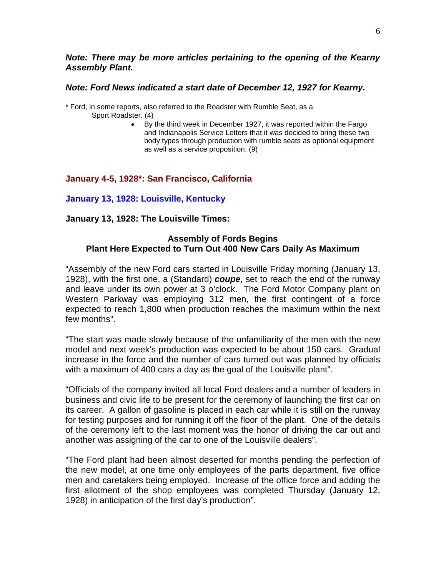### *Note: There may be more articles pertaining to the opening of the Kearny Assembly Plant.*

### *Note: Ford News indicated a start date of December 12, 1927 for Kearny.*

\* Ford, in some reports, also referred to the Roadster with Rumble Seat, as a

- Sport Roadster. (4)
	- By the third week in December 1927, it was reported within the Fargo and Indianapolis Service Letters that it was decided to bring these two body types through production with rumble seats as optional equipment as well as a service proposition. (9)

# **January 4-5, 1928\*: San Francisco, California**

**January 13, 1928: Louisville, Kentucky**

**January 13, 1928: The Louisville Times:**

# **Assembly of Fords Begins Plant Here Expected to Turn Out 400 New Cars Daily As Maximum**

"Assembly of the new Ford cars started in Louisville Friday morning (January 13, 1928), with the first one, a (Standard) *coupe*, set to reach the end of the runway and leave under its own power at 3 o'clock. The Ford Motor Company plant on Western Parkway was employing 312 men, the first contingent of a force expected to reach 1,800 when production reaches the maximum within the next few months".

"The start was made slowly because of the unfamiliarity of the men with the new model and next week's production was expected to be about 150 cars. Gradual increase in the force and the number of cars turned out was planned by officials with a maximum of 400 cars a day as the goal of the Louisville plant".

"Officials of the company invited all local Ford dealers and a number of leaders in business and civic life to be present for the ceremony of launching the first car on its career. A gallon of gasoline is placed in each car while it is still on the runway for testing purposes and for running it off the floor of the plant. One of the details of the ceremony left to the last moment was the honor of driving the car out and another was assigning of the car to one of the Louisville dealers".

"The Ford plant had been almost deserted for months pending the perfection of the new model, at one time only employees of the parts department, five office men and caretakers being employed. Increase of the office force and adding the first allotment of the shop employees was completed Thursday (January 12, 1928) in anticipation of the first day's production".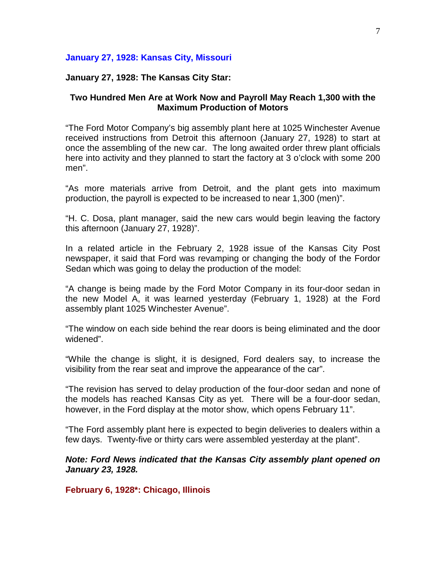### **January 27, 1928: Kansas City, Missouri**

### **January 27, 1928: The Kansas City Star:**

### **Two Hundred Men Are at Work Now and Payroll May Reach 1,300 with the Maximum Production of Motors**

"The Ford Motor Company's big assembly plant here at 1025 Winchester Avenue received instructions from Detroit this afternoon (January 27, 1928) to start at once the assembling of the new car. The long awaited order threw plant officials here into activity and they planned to start the factory at 3 o'clock with some 200 men".

"As more materials arrive from Detroit, and the plant gets into maximum production, the payroll is expected to be increased to near 1,300 (men)".

"H. C. Dosa, plant manager, said the new cars would begin leaving the factory this afternoon (January 27, 1928)".

In a related article in the February 2, 1928 issue of the Kansas City Post newspaper, it said that Ford was revamping or changing the body of the Fordor Sedan which was going to delay the production of the model:

"A change is being made by the Ford Motor Company in its four-door sedan in the new Model A, it was learned yesterday (February 1, 1928) at the Ford assembly plant 1025 Winchester Avenue".

"The window on each side behind the rear doors is being eliminated and the door widened".

"While the change is slight, it is designed, Ford dealers say, to increase the visibility from the rear seat and improve the appearance of the car".

"The revision has served to delay production of the four-door sedan and none of the models has reached Kansas City as yet. There will be a four-door sedan, however, in the Ford display at the motor show, which opens February 11".

"The Ford assembly plant here is expected to begin deliveries to dealers within a few days. Twenty-five or thirty cars were assembled yesterday at the plant".

*Note: Ford News indicated that the Kansas City assembly plant opened on January 23, 1928.*

**February 6, 1928\*: Chicago, Illinois**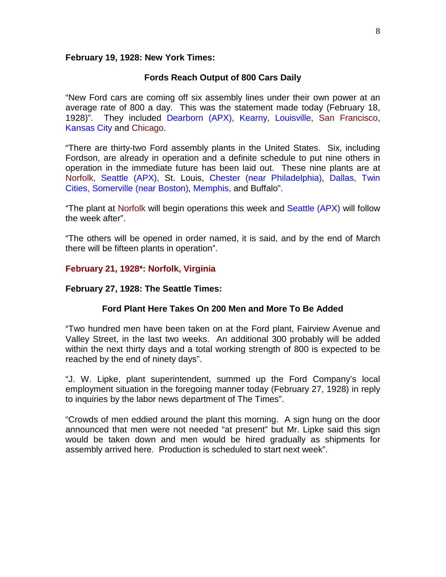#### **February 19, 1928: New York Times:**

### **Fords Reach Output of 800 Cars Daily**

"New Ford cars are coming off six assembly lines under their own power at an average rate of 800 a day. This was the statement made today (February 18, 1928)". They included Dearborn (APX), Kearny, Louisville, San Francisco, Kansas City and Chicago.

"There are thirty-two Ford assembly plants in the United States. Six, including Fordson, are already in operation and a definite schedule to put nine others in operation in the immediate future has been laid out. These nine plants are at Norfolk, Seattle (APX), St. Louis, Chester (near Philadelphia), Dallas, Twin Cities, Somerville (near Boston), Memphis, and Buffalo".

"The plant at Norfolk will begin operations this week and Seattle (APX) will follow the week after".

"The others will be opened in order named, it is said, and by the end of March there will be fifteen plants in operation".

### **February 21, 1928\*: Norfolk, Virginia**

#### **February 27, 1928: The Seattle Times:**

### **Ford Plant Here Takes On 200 Men and More To Be Added**

"Two hundred men have been taken on at the Ford plant, Fairview Avenue and Valley Street, in the last two weeks. An additional 300 probably will be added within the next thirty days and a total working strength of 800 is expected to be reached by the end of ninety days".

"J. W. Lipke, plant superintendent, summed up the Ford Company's local employment situation in the foregoing manner today (February 27, 1928) in reply to inquiries by the labor news department of The Times".

"Crowds of men eddied around the plant this morning. A sign hung on the door announced that men were not needed "at present" but Mr. Lipke said this sign would be taken down and men would be hired gradually as shipments for assembly arrived here. Production is scheduled to start next week".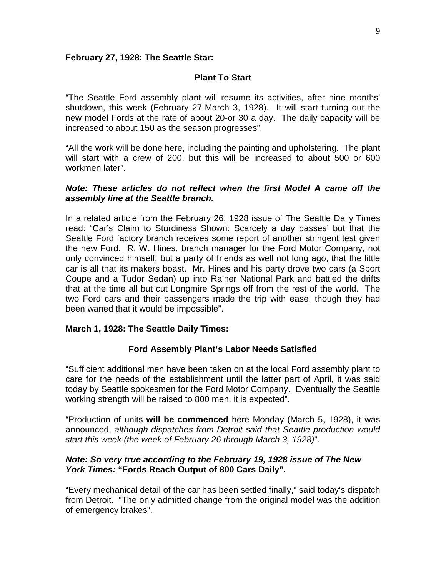### **February 27, 1928: The Seattle Star:**

## **Plant To Start**

"The Seattle Ford assembly plant will resume its activities, after nine months' shutdown, this week (February 27-March 3, 1928). It will start turning out the new model Fords at the rate of about 20-or 30 a day. The daily capacity will be increased to about 150 as the season progresses".

"All the work will be done here, including the painting and upholstering. The plant will start with a crew of 200, but this will be increased to about 500 or 600 workmen later".

## *Note: These articles do not reflect when the first Model A came off the assembly line at the Seattle branch.*

In a related article from the February 26, 1928 issue of The Seattle Daily Times read: "Car's Claim to Sturdiness Shown: Scarcely a day passes' but that the Seattle Ford factory branch receives some report of another stringent test given the new Ford. R. W. Hines, branch manager for the Ford Motor Company, not only convinced himself, but a party of friends as well not long ago, that the little car is all that its makers boast. Mr. Hines and his party drove two cars (a Sport Coupe and a Tudor Sedan) up into Rainer National Park and battled the drifts that at the time all but cut Longmire Springs off from the rest of the world. The two Ford cars and their passengers made the trip with ease, though they had been waned that it would be impossible".

# **March 1, 1928: The Seattle Daily Times:**

# **Ford Assembly Plant's Labor Needs Satisfied**

"Sufficient additional men have been taken on at the local Ford assembly plant to care for the needs of the establishment until the latter part of April, it was said today by Seattle spokesmen for the Ford Motor Company. Eventually the Seattle working strength will be raised to 800 men, it is expected".

"Production of units **will be commenced** here Monday (March 5, 1928), it was announced, *although dispatches from Detroit said that Seattle production would start this week (the week of February 26 through March 3, 1928)*".

## *Note: So very true according to the February 19, 1928 issue of The New York Times:* **"Fords Reach Output of 800 Cars Daily".**

"Every mechanical detail of the car has been settled finally," said today's dispatch from Detroit. "The only admitted change from the original model was the addition of emergency brakes".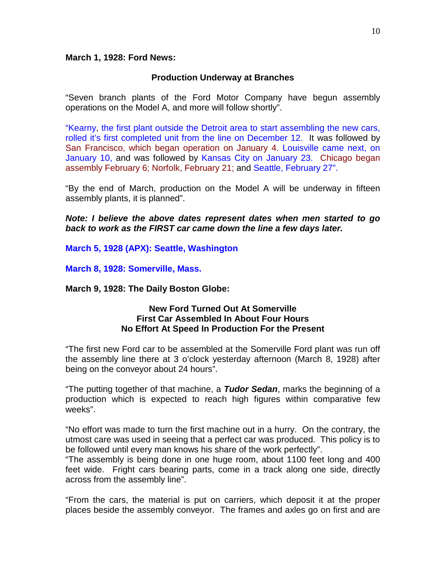### **March 1, 1928: Ford News:**

### **Production Underway at Branches**

"Seven branch plants of the Ford Motor Company have begun assembly operations on the Model A, and more will follow shortly".

"Kearny, the first plant outside the Detroit area to start assembling the new cars, rolled it's first completed unit from the line on December 12. It was followed by San Francisco, which began operation on January 4. Louisville came next, on January 10, and was followed by Kansas City on January 23. Chicago began assembly February 6; Norfolk, February 21; and Seattle, February 27".

"By the end of March, production on the Model A will be underway in fifteen assembly plants, it is planned".

*Note: I believe the above dates represent dates when men started to go back to work as the FIRST car came down the line a few days later.*

**March 5, 1928 (APX): Seattle, Washington**

**March 8, 1928: Somerville, Mass.**

**March 9, 1928: The Daily Boston Globe:**

### **New Ford Turned Out At Somerville First Car Assembled In About Four Hours No Effort At Speed In Production For the Present**

"The first new Ford car to be assembled at the Somerville Ford plant was run off the assembly line there at 3 o'clock yesterday afternoon (March 8, 1928) after being on the conveyor about 24 hours".

"The putting together of that machine, a *Tudor Sedan*, marks the beginning of a production which is expected to reach high figures within comparative few weeks".

"No effort was made to turn the first machine out in a hurry. On the contrary, the utmost care was used in seeing that a perfect car was produced. This policy is to be followed until every man knows his share of the work perfectly".

"The assembly is being done in one huge room, about 1100 feet long and 400 feet wide. Fright cars bearing parts, come in a track along one side, directly across from the assembly line".

"From the cars, the material is put on carriers, which deposit it at the proper places beside the assembly conveyor. The frames and axles go on first and are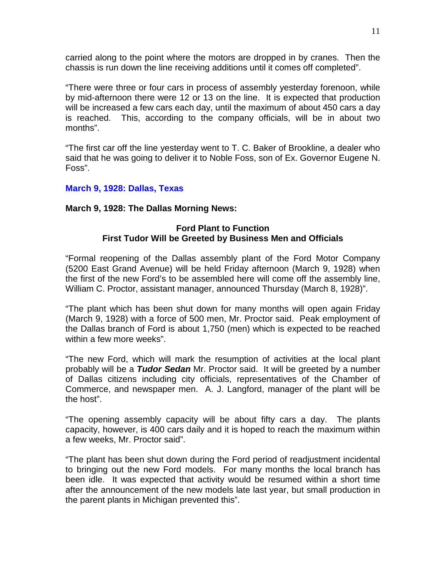carried along to the point where the motors are dropped in by cranes. Then the chassis is run down the line receiving additions until it comes off completed".

"There were three or four cars in process of assembly yesterday forenoon, while by mid-afternoon there were 12 or 13 on the line. It is expected that production will be increased a few cars each day, until the maximum of about 450 cars a day is reached. This, according to the company officials, will be in about two months".

"The first car off the line yesterday went to T. C. Baker of Brookline, a dealer who said that he was going to deliver it to Noble Foss, son of Ex. Governor Eugene N. Foss".

# **March 9, 1928: Dallas, Texas**

# **March 9, 1928: The Dallas Morning News:**

## **Ford Plant to Function First Tudor Will be Greeted by Business Men and Officials**

"Formal reopening of the Dallas assembly plant of the Ford Motor Company (5200 East Grand Avenue) will be held Friday afternoon (March 9, 1928) when the first of the new Ford's to be assembled here will come off the assembly line, William C. Proctor, assistant manager, announced Thursday (March 8, 1928)".

"The plant which has been shut down for many months will open again Friday (March 9, 1928) with a force of 500 men, Mr. Proctor said. Peak employment of the Dallas branch of Ford is about 1,750 (men) which is expected to be reached within a few more weeks".

"The new Ford, which will mark the resumption of activities at the local plant probably will be a *Tudor Sedan* Mr. Proctor said. It will be greeted by a number of Dallas citizens including city officials, representatives of the Chamber of Commerce, and newspaper men. A. J. Langford, manager of the plant will be the host".

"The opening assembly capacity will be about fifty cars a day. The plants capacity, however, is 400 cars daily and it is hoped to reach the maximum within a few weeks, Mr. Proctor said".

"The plant has been shut down during the Ford period of readjustment incidental to bringing out the new Ford models. For many months the local branch has been idle. It was expected that activity would be resumed within a short time after the announcement of the new models late last year, but small production in the parent plants in Michigan prevented this".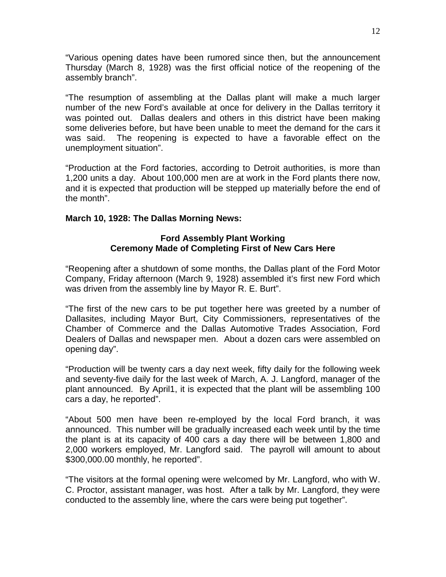"Various opening dates have been rumored since then, but the announcement Thursday (March 8, 1928) was the first official notice of the reopening of the assembly branch".

"The resumption of assembling at the Dallas plant will make a much larger number of the new Ford's available at once for delivery in the Dallas territory it was pointed out. Dallas dealers and others in this district have been making some deliveries before, but have been unable to meet the demand for the cars it was said. The reopening is expected to have a favorable effect on the unemployment situation".

"Production at the Ford factories, according to Detroit authorities, is more than 1,200 units a day. About 100,000 men are at work in the Ford plants there now, and it is expected that production will be stepped up materially before the end of the month".

# **March 10, 1928: The Dallas Morning News:**

## **Ford Assembly Plant Working Ceremony Made of Completing First of New Cars Here**

"Reopening after a shutdown of some months, the Dallas plant of the Ford Motor Company, Friday afternoon (March 9, 1928) assembled it's first new Ford which was driven from the assembly line by Mayor R. E. Burt".

"The first of the new cars to be put together here was greeted by a number of Dallasites, including Mayor Burt, City Commissioners, representatives of the Chamber of Commerce and the Dallas Automotive Trades Association, Ford Dealers of Dallas and newspaper men. About a dozen cars were assembled on opening day".

"Production will be twenty cars a day next week, fifty daily for the following week and seventy-five daily for the last week of March, A. J. Langford, manager of the plant announced. By April1, it is expected that the plant will be assembling 100 cars a day, he reported".

"About 500 men have been re-employed by the local Ford branch, it was announced. This number will be gradually increased each week until by the time the plant is at its capacity of 400 cars a day there will be between 1,800 and 2,000 workers employed, Mr. Langford said. The payroll will amount to about \$300,000.00 monthly, he reported".

"The visitors at the formal opening were welcomed by Mr. Langford, who with W. C. Proctor, assistant manager, was host. After a talk by Mr. Langford, they were conducted to the assembly line, where the cars were being put together".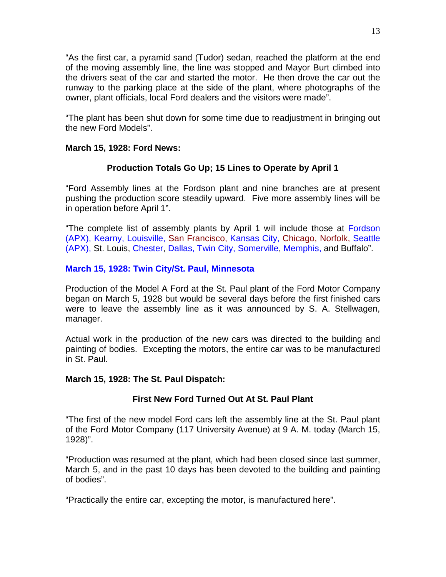"As the first car, a pyramid sand (Tudor) sedan, reached the platform at the end of the moving assembly line, the line was stopped and Mayor Burt climbed into the drivers seat of the car and started the motor. He then drove the car out the runway to the parking place at the side of the plant, where photographs of the owner, plant officials, local Ford dealers and the visitors were made".

"The plant has been shut down for some time due to readjustment in bringing out the new Ford Models".

# **March 15, 1928: Ford News:**

# **Production Totals Go Up; 15 Lines to Operate by April 1**

"Ford Assembly lines at the Fordson plant and nine branches are at present pushing the production score steadily upward. Five more assembly lines will be in operation before April 1".

"The complete list of assembly plants by April 1 will include those at Fordson (APX), Kearny, Louisville, San Francisco, Kansas City, Chicago, Norfolk, Seattle (APX), St. Louis, Chester, Dallas, Twin City, Somerville, Memphis, and Buffalo".

# **March 15, 1928: Twin City/St. Paul, Minnesota**

Production of the Model A Ford at the St. Paul plant of the Ford Motor Company began on March 5, 1928 but would be several days before the first finished cars were to leave the assembly line as it was announced by S. A. Stellwagen, manager.

Actual work in the production of the new cars was directed to the building and painting of bodies. Excepting the motors, the entire car was to be manufactured in St. Paul.

### **March 15, 1928: The St. Paul Dispatch:**

# **First New Ford Turned Out At St. Paul Plant**

"The first of the new model Ford cars left the assembly line at the St. Paul plant of the Ford Motor Company (117 University Avenue) at 9 A. M. today (March 15, 1928)".

"Production was resumed at the plant, which had been closed since last summer, March 5, and in the past 10 days has been devoted to the building and painting of bodies".

"Practically the entire car, excepting the motor, is manufactured here".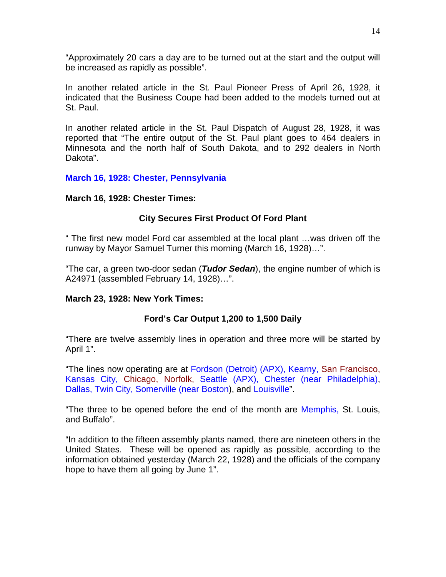"Approximately 20 cars a day are to be turned out at the start and the output will be increased as rapidly as possible".

In another related article in the St. Paul Pioneer Press of April 26, 1928, it indicated that the Business Coupe had been added to the models turned out at St. Paul.

In another related article in the St. Paul Dispatch of August 28, 1928, it was reported that "The entire output of the St. Paul plant goes to 464 dealers in Minnesota and the north half of South Dakota, and to 292 dealers in North Dakota".

# **March 16, 1928: Chester, Pennsylvania**

# **March 16, 1928: Chester Times:**

# **City Secures First Product Of Ford Plant**

" The first new model Ford car assembled at the local plant …was driven off the runway by Mayor Samuel Turner this morning (March 16, 1928)…".

"The car, a green two-door sedan (*Tudor Sedan*), the engine number of which is A24971 (assembled February 14, 1928)…".

# **March 23, 1928: New York Times:**

# **Ford's Car Output 1,200 to 1,500 Daily**

"There are twelve assembly lines in operation and three more will be started by April 1".

"The lines now operating are at Fordson (Detroit) (APX), Kearny, San Francisco, Kansas City, Chicago, Norfolk, Seattle (APX), Chester (near Philadelphia), Dallas, Twin City, Somerville (near Boston), and Louisville".

"The three to be opened before the end of the month are Memphis, St. Louis, and Buffalo".

"In addition to the fifteen assembly plants named, there are nineteen others in the United States. These will be opened as rapidly as possible, according to the information obtained yesterday (March 22, 1928) and the officials of the company hope to have them all going by June 1".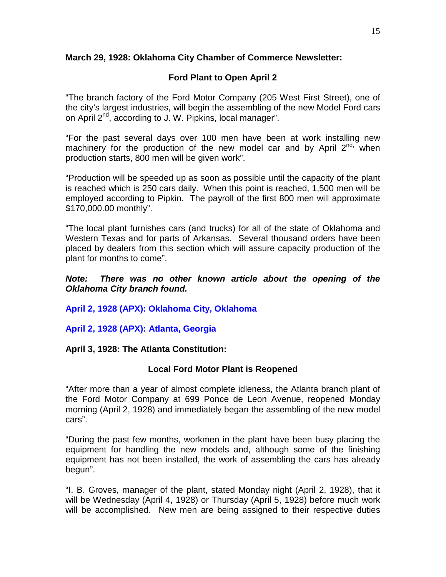# **March 29, 1928: Oklahoma City Chamber of Commerce Newsletter:**

# **Ford Plant to Open April 2**

"The branch factory of the Ford Motor Company (205 West First Street), one of the city's largest industries, will begin the assembling of the new Model Ford cars on April 2<sup>nd</sup>, according to J. W. Pipkins, local manager".

"For the past several days over 100 men have been at work installing new machinery for the production of the new model car and by April  $2^{nd}$ , when production starts, 800 men will be given work".

"Production will be speeded up as soon as possible until the capacity of the plant is reached which is 250 cars daily. When this point is reached, 1,500 men will be employed according to Pipkin. The payroll of the first 800 men will approximate \$170,000.00 monthly".

"The local plant furnishes cars (and trucks) for all of the state of Oklahoma and Western Texas and for parts of Arkansas. Several thousand orders have been placed by dealers from this section which will assure capacity production of the plant for months to come".

# *Note: There was no other known article about the opening of the Oklahoma City branch found.*

**April 2, 1928 (APX): Oklahoma City, Oklahoma**

**April 2, 1928 (APX): Atlanta, Georgia**

**April 3, 1928: The Atlanta Constitution:**

# **Local Ford Motor Plant is Reopened**

"After more than a year of almost complete idleness, the Atlanta branch plant of the Ford Motor Company at 699 Ponce de Leon Avenue, reopened Monday morning (April 2, 1928) and immediately began the assembling of the new model cars".

"During the past few months, workmen in the plant have been busy placing the equipment for handling the new models and, although some of the finishing equipment has not been installed, the work of assembling the cars has already begun".

"I. B. Groves, manager of the plant, stated Monday night (April 2, 1928), that it will be Wednesday (April 4, 1928) or Thursday (April 5, 1928) before much work will be accomplished. New men are being assigned to their respective duties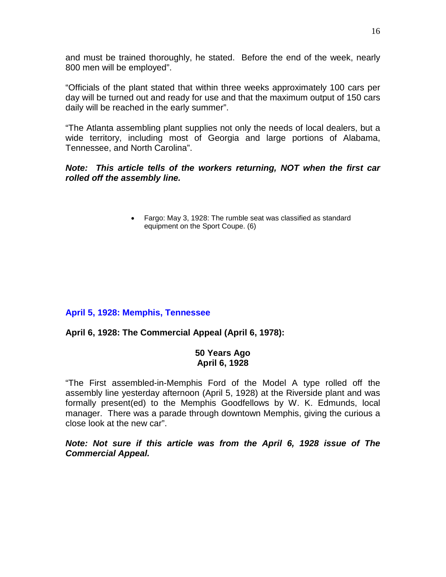and must be trained thoroughly, he stated. Before the end of the week, nearly 800 men will be employed".

"Officials of the plant stated that within three weeks approximately 100 cars per day will be turned out and ready for use and that the maximum output of 150 cars daily will be reached in the early summer".

"The Atlanta assembling plant supplies not only the needs of local dealers, but a wide territory, including most of Georgia and large portions of Alabama, Tennessee, and North Carolina".

# *Note: This article tells of the workers returning, NOT when the first car rolled off the assembly line.*

• Fargo: May 3, 1928: The rumble seat was classified as standard equipment on the Sport Coupe. (6)

# **April 5, 1928: Memphis, Tennessee**

# **April 6, 1928: The Commercial Appeal (April 6, 1978):**

# **50 Years Ago April 6, 1928**

"The First assembled-in-Memphis Ford of the Model A type rolled off the assembly line yesterday afternoon (April 5, 1928) at the Riverside plant and was formally present(ed) to the Memphis Goodfellows by W. K. Edmunds, local manager. There was a parade through downtown Memphis, giving the curious a close look at the new car".

*Note: Not sure if this article was from the April 6, 1928 issue of The Commercial Appeal.*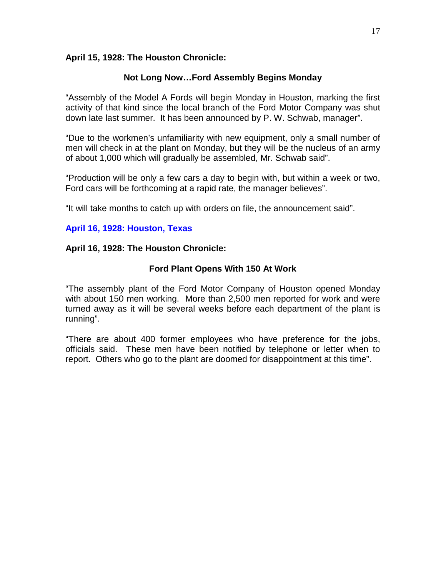## **April 15, 1928: The Houston Chronicle:**

## **Not Long Now…Ford Assembly Begins Monday**

"Assembly of the Model A Fords will begin Monday in Houston, marking the first activity of that kind since the local branch of the Ford Motor Company was shut down late last summer. It has been announced by P. W. Schwab, manager".

"Due to the workmen's unfamiliarity with new equipment, only a small number of men will check in at the plant on Monday, but they will be the nucleus of an army of about 1,000 which will gradually be assembled, Mr. Schwab said".

"Production will be only a few cars a day to begin with, but within a week or two, Ford cars will be forthcoming at a rapid rate, the manager believes".

"It will take months to catch up with orders on file, the announcement said".

# **April 16, 1928: Houston, Texas**

## **April 16, 1928: The Houston Chronicle:**

## **Ford Plant Opens With 150 At Work**

"The assembly plant of the Ford Motor Company of Houston opened Monday with about 150 men working. More than 2,500 men reported for work and were turned away as it will be several weeks before each department of the plant is running".

"There are about 400 former employees who have preference for the jobs, officials said. These men have been notified by telephone or letter when to report. Others who go to the plant are doomed for disappointment at this time".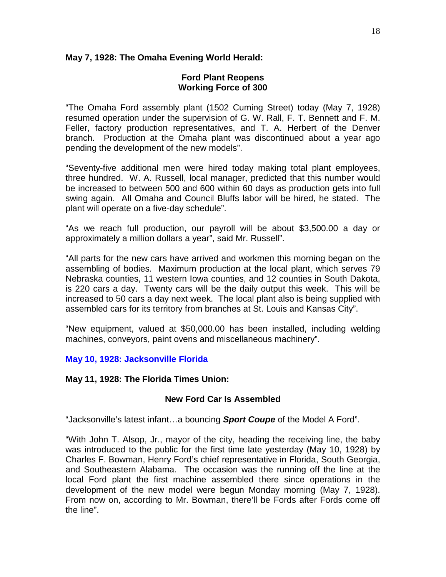# **May 7, 1928: The Omaha Evening World Herald:**

## **Ford Plant Reopens Working Force of 300**

"The Omaha Ford assembly plant (1502 Cuming Street) today (May 7, 1928) resumed operation under the supervision of G. W. Rall, F. T. Bennett and F. M. Feller, factory production representatives, and T. A. Herbert of the Denver branch. Production at the Omaha plant was discontinued about a year ago pending the development of the new models".

"Seventy-five additional men were hired today making total plant employees, three hundred. W. A. Russell, local manager, predicted that this number would be increased to between 500 and 600 within 60 days as production gets into full swing again. All Omaha and Council Bluffs labor will be hired, he stated. The plant will operate on a five-day schedule".

"As we reach full production, our payroll will be about \$3,500.00 a day or approximately a million dollars a year", said Mr. Russell".

"All parts for the new cars have arrived and workmen this morning began on the assembling of bodies. Maximum production at the local plant, which serves 79 Nebraska counties, 11 western Iowa counties, and 12 counties in South Dakota, is 220 cars a day. Twenty cars will be the daily output this week. This will be increased to 50 cars a day next week. The local plant also is being supplied with assembled cars for its territory from branches at St. Louis and Kansas City".

"New equipment, valued at \$50,000.00 has been installed, including welding machines, conveyors, paint ovens and miscellaneous machinery".

# **May 10, 1928: Jacksonville Florida**

# **May 11, 1928: The Florida Times Union:**

# **New Ford Car Is Assembled**

"Jacksonville's latest infant…a bouncing *Sport Coupe* of the Model A Ford".

"With John T. Alsop, Jr., mayor of the city, heading the receiving line, the baby was introduced to the public for the first time late yesterday (May 10, 1928) by Charles F. Bowman, Henry Ford's chief representative in Florida, South Georgia, and Southeastern Alabama. The occasion was the running off the line at the local Ford plant the first machine assembled there since operations in the development of the new model were begun Monday morning (May 7, 1928). From now on, according to Mr. Bowman, there'll be Fords after Fords come off the line".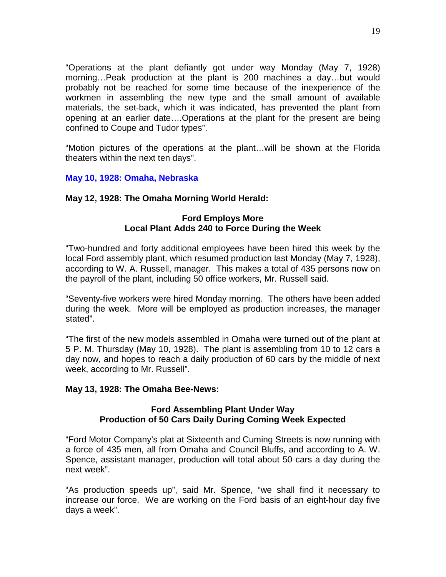"Operations at the plant defiantly got under way Monday (May 7, 1928) morning…Peak production at the plant is 200 machines a day…but would probably not be reached for some time because of the inexperience of the workmen in assembling the new type and the small amount of available materials, the set-back, which it was indicated, has prevented the plant from opening at an earlier date….Operations at the plant for the present are being confined to Coupe and Tudor types".

"Motion pictures of the operations at the plant…will be shown at the Florida theaters within the next ten days".

# **May 10, 1928: Omaha, Nebraska**

## **May 12, 1928: The Omaha Morning World Herald:**

# **Ford Employs More Local Plant Adds 240 to Force During the Week**

"Two-hundred and forty additional employees have been hired this week by the local Ford assembly plant, which resumed production last Monday (May 7, 1928), according to W. A. Russell, manager. This makes a total of 435 persons now on the payroll of the plant, including 50 office workers, Mr. Russell said.

"Seventy-five workers were hired Monday morning. The others have been added during the week. More will be employed as production increases, the manager stated".

"The first of the new models assembled in Omaha were turned out of the plant at 5 P. M. Thursday (May 10, 1928). The plant is assembling from 10 to 12 cars a day now, and hopes to reach a daily production of 60 cars by the middle of next week, according to Mr. Russell".

### **May 13, 1928: The Omaha Bee-News:**

## **Ford Assembling Plant Under Way Production of 50 Cars Daily During Coming Week Expected**

"Ford Motor Company's plat at Sixteenth and Cuming Streets is now running with a force of 435 men, all from Omaha and Council Bluffs, and according to A. W. Spence, assistant manager, production will total about 50 cars a day during the next week".

"As production speeds up", said Mr. Spence, "we shall find it necessary to increase our force. We are working on the Ford basis of an eight-hour day five days a week".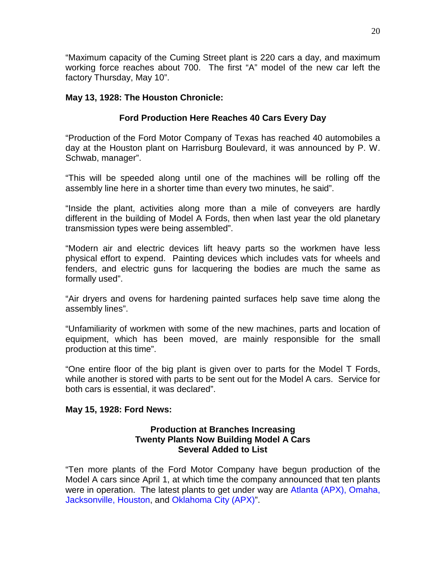"Maximum capacity of the Cuming Street plant is 220 cars a day, and maximum working force reaches about 700. The first "A" model of the new car left the factory Thursday, May 10".

# **May 13, 1928: The Houston Chronicle:**

# **Ford Production Here Reaches 40 Cars Every Day**

"Production of the Ford Motor Company of Texas has reached 40 automobiles a day at the Houston plant on Harrisburg Boulevard, it was announced by P. W. Schwab, manager".

"This will be speeded along until one of the machines will be rolling off the assembly line here in a shorter time than every two minutes, he said".

"Inside the plant, activities along more than a mile of conveyers are hardly different in the building of Model A Fords, then when last year the old planetary transmission types were being assembled".

"Modern air and electric devices lift heavy parts so the workmen have less physical effort to expend. Painting devices which includes vats for wheels and fenders, and electric guns for lacquering the bodies are much the same as formally used".

"Air dryers and ovens for hardening painted surfaces help save time along the assembly lines".

"Unfamiliarity of workmen with some of the new machines, parts and location of equipment, which has been moved, are mainly responsible for the small production at this time".

"One entire floor of the big plant is given over to parts for the Model T Fords, while another is stored with parts to be sent out for the Model A cars. Service for both cars is essential, it was declared".

# **May 15, 1928: Ford News:**

## **Production at Branches Increasing Twenty Plants Now Building Model A Cars Several Added to List**

"Ten more plants of the Ford Motor Company have begun production of the Model A cars since April 1, at which time the company announced that ten plants were in operation. The latest plants to get under way are Atlanta (APX), Omaha, Jacksonville, Houston, and Oklahoma City (APX)".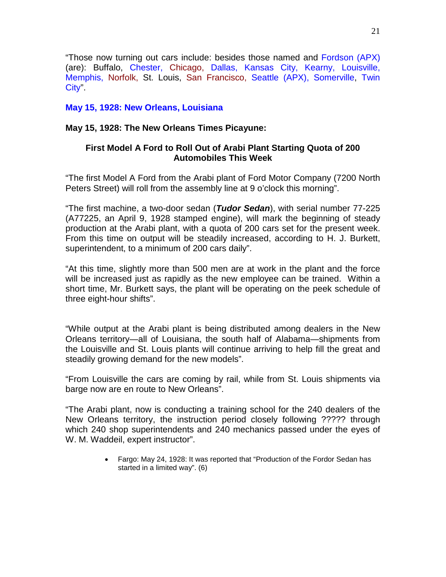"Those now turning out cars include: besides those named and Fordson (APX) (are): Buffalo, Chester, Chicago, Dallas, Kansas City, Kearny, Louisville, Memphis, Norfolk, St. Louis, San Francisco, Seattle (APX), Somerville, Twin City".

# **May 15, 1928: New Orleans, Louisiana**

# **May 15, 1928: The New Orleans Times Picayune:**

# **First Model A Ford to Roll Out of Arabi Plant Starting Quota of 200 Automobiles This Week**

"The first Model A Ford from the Arabi plant of Ford Motor Company (7200 North Peters Street) will roll from the assembly line at 9 o'clock this morning".

"The first machine, a two-door sedan (*Tudor Sedan*), with serial number 77-225 (A77225, an April 9, 1928 stamped engine), will mark the beginning of steady production at the Arabi plant, with a quota of 200 cars set for the present week. From this time on output will be steadily increased, according to H. J. Burkett, superintendent, to a minimum of 200 cars daily".

"At this time, slightly more than 500 men are at work in the plant and the force will be increased just as rapidly as the new employee can be trained. Within a short time, Mr. Burkett says, the plant will be operating on the peek schedule of three eight-hour shifts".

"While output at the Arabi plant is being distributed among dealers in the New Orleans territory—all of Louisiana, the south half of Alabama—shipments from the Louisville and St. Louis plants will continue arriving to help fill the great and steadily growing demand for the new models".

"From Louisville the cars are coming by rail, while from St. Louis shipments via barge now are en route to New Orleans".

"The Arabi plant, now is conducting a training school for the 240 dealers of the New Orleans territory, the instruction period closely following ????? through which 240 shop superintendents and 240 mechanics passed under the eyes of W. M. Waddeil, expert instructor".

> • Fargo: May 24, 1928: It was reported that "Production of the Fordor Sedan has started in a limited way". (6)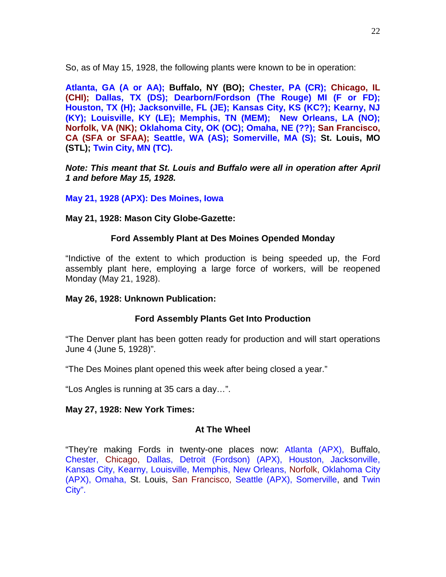So, as of May 15, 1928, the following plants were known to be in operation:

**Atlanta, GA (A or AA); Buffalo, NY (BO); Chester, PA (CR); Chicago, IL (CHI); Dallas, TX (DS); Dearborn/Fordson (The Rouge) MI (F or FD); Houston, TX (H); Jacksonville, FL (JE); Kansas City, KS (KC?); Kearny, NJ (KY); Louisville, KY (LE); Memphis, TN (MEM); New Orleans, LA (NO); Norfolk, VA (NK); Oklahoma City, OK (OC); Omaha, NE (??); San Francisco, CA (SFA or SFAA); Seattle, WA (AS); Somerville, MA (S); St. Louis, MO (STL); Twin City, MN (TC).**

*Note: This meant that St. Louis and Buffalo were all in operation after April 1 and before May 15, 1928.*

**May 21, 1928 (APX): Des Moines, Iowa**

## **May 21, 1928: Mason City Globe-Gazette:**

## **Ford Assembly Plant at Des Moines Opended Monday**

"Indictive of the extent to which production is being speeded up, the Ford assembly plant here, employing a large force of workers, will be reopened Monday (May 21, 1928).

### **May 26, 1928: Unknown Publication:**

# **Ford Assembly Plants Get Into Production**

"The Denver plant has been gotten ready for production and will start operations June 4 (June 5, 1928)".

"The Des Moines plant opened this week after being closed a year."

"Los Angles is running at 35 cars a day…".

### **May 27, 1928: New York Times:**

# **At The Wheel**

"They're making Fords in twenty-one places now: Atlanta (APX), Buffalo, Chester, Chicago, Dallas, Detroit (Fordson) (APX), Houston, Jacksonville, Kansas City, Kearny, Louisville, Memphis, New Orleans, Norfolk, Oklahoma City (APX), Omaha, St. Louis, San Francisco, Seattle (APX), Somerville, and Twin City".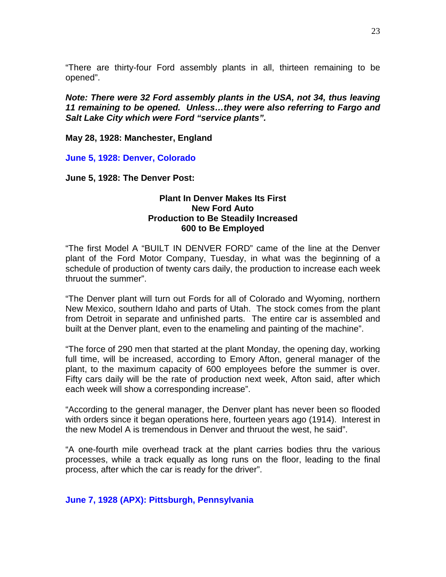"There are thirty-four Ford assembly plants in all, thirteen remaining to be opened".

*Note: There were 32 Ford assembly plants in the USA, not 34, thus leaving 11 remaining to be opened. Unless…they were also referring to Fargo and Salt Lake City which were Ford "service plants".*

**May 28, 1928: Manchester, England**

**June 5, 1928: Denver, Colorado**

**June 5, 1928: The Denver Post:**

## **Plant In Denver Makes Its First New Ford Auto Production to Be Steadily Increased 600 to Be Employed**

"The first Model A "BUILT IN DENVER FORD" came of the line at the Denver plant of the Ford Motor Company, Tuesday, in what was the beginning of a schedule of production of twenty cars daily, the production to increase each week thruout the summer".

"The Denver plant will turn out Fords for all of Colorado and Wyoming, northern New Mexico, southern Idaho and parts of Utah. The stock comes from the plant from Detroit in separate and unfinished parts. The entire car is assembled and built at the Denver plant, even to the enameling and painting of the machine".

"The force of 290 men that started at the plant Monday, the opening day, working full time, will be increased, according to Emory Afton, general manager of the plant, to the maximum capacity of 600 employees before the summer is over. Fifty cars daily will be the rate of production next week, Afton said, after which each week will show a corresponding increase".

"According to the general manager, the Denver plant has never been so flooded with orders since it began operations here, fourteen years ago (1914). Interest in the new Model A is tremendous in Denver and thruout the west, he said".

"A one-fourth mile overhead track at the plant carries bodies thru the various processes, while a track equally as long runs on the floor, leading to the final process, after which the car is ready for the driver".

### **June 7, 1928 (APX): Pittsburgh, Pennsylvania**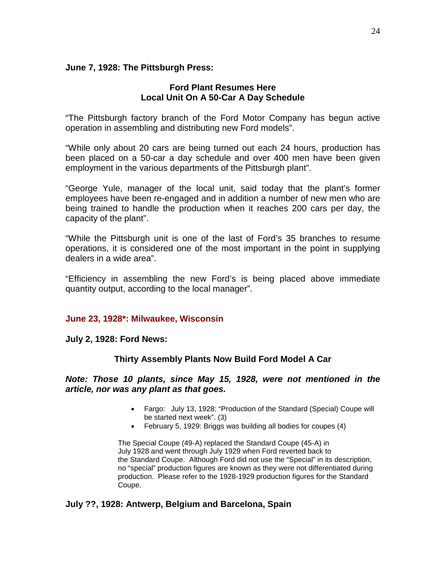## **June 7, 1928: The Pittsburgh Press:**

## **Ford Plant Resumes Here Local Unit On A 50-Car A Day Schedule**

"The Pittsburgh factory branch of the Ford Motor Company has begun active operation in assembling and distributing new Ford models".

"While only about 20 cars are being turned out each 24 hours, production has been placed on a 50-car a day schedule and over 400 men have been given employment in the various departments of the Pittsburgh plant".

"George Yule, manager of the local unit, said today that the plant's former employees have been re-engaged and in addition a number of new men who are being trained to handle the production when it reaches 200 cars per day, the capacity of the plant".

"While the Pittsburgh unit is one of the last of Ford's 35 branches to resume operations, it is considered one of the most important in the point in supplying dealers in a wide area".

"Efficiency in assembling the new Ford's is being placed above immediate quantity output, according to the local manager".

# **June 23, 1928\*: Milwaukee, Wisconsin**

**July 2, 1928: Ford News:**

# **Thirty Assembly Plants Now Build Ford Model A Car**

## *Note: Those 10 plants, since May 15, 1928, were not mentioned in the article, nor was any plant as that goes.*

- Fargo: July 13, 1928: "Production of the Standard (Special) Coupe will be started next week". (3)
- February 5, 1929: Briggs was building all bodies for coupes (4)

The Special Coupe (49-A) replaced the Standard Coupe (45-A) in July 1928 and went through July 1929 when Ford reverted back to the Standard Coupe. Although Ford did not use the "Special" in its description, no "special" production figures are known as they were not differentiated during production. Please refer to the 1928-1929 production figures for the Standard Coupe.

# **July ??, 1928: Antwerp, Belgium and Barcelona, Spain**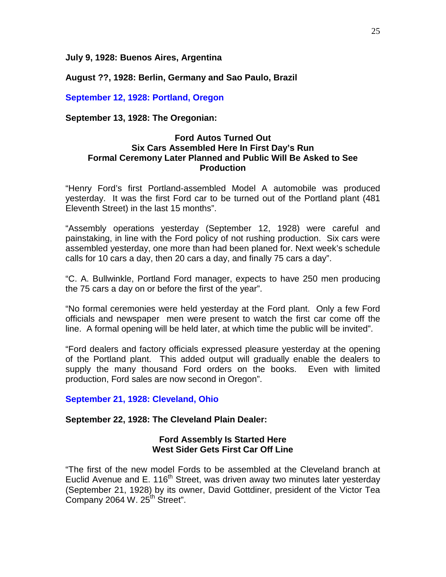**July 9, 1928: Buenos Aires, Argentina**

**August ??, 1928: Berlin, Germany and Sao Paulo, Brazil**

**September 12, 1928: Portland, Oregon**

**September 13, 1928: The Oregonian:**

## **Ford Autos Turned Out Six Cars Assembled Here In First Day's Run Formal Ceremony Later Planned and Public Will Be Asked to See Production**

"Henry Ford's first Portland-assembled Model A automobile was produced yesterday. It was the first Ford car to be turned out of the Portland plant (481 Eleventh Street) in the last 15 months".

"Assembly operations yesterday (September 12, 1928) were careful and painstaking, in line with the Ford policy of not rushing production. Six cars were assembled yesterday, one more than had been planed for. Next week's schedule calls for 10 cars a day, then 20 cars a day, and finally 75 cars a day".

"C. A. Bullwinkle, Portland Ford manager, expects to have 250 men producing the 75 cars a day on or before the first of the year".

"No formal ceremonies were held yesterday at the Ford plant. Only a few Ford officials and newspaper men were present to watch the first car come off the line. A formal opening will be held later, at which time the public will be invited".

"Ford dealers and factory officials expressed pleasure yesterday at the opening of the Portland plant. This added output will gradually enable the dealers to supply the many thousand Ford orders on the books. Even with limited production, Ford sales are now second in Oregon".

**September 21, 1928: Cleveland, Ohio**

### **September 22, 1928: The Cleveland Plain Dealer:**

### **Ford Assembly Is Started Here West Sider Gets First Car Off Line**

"The first of the new model Fords to be assembled at the Cleveland branch at Euclid Avenue and E. 116<sup>th</sup> Street, was driven away two minutes later yesterday (September 21, 1928) by its owner, David Gottdiner, president of the Victor Tea Company 2064 W. 25<sup>th</sup> Street".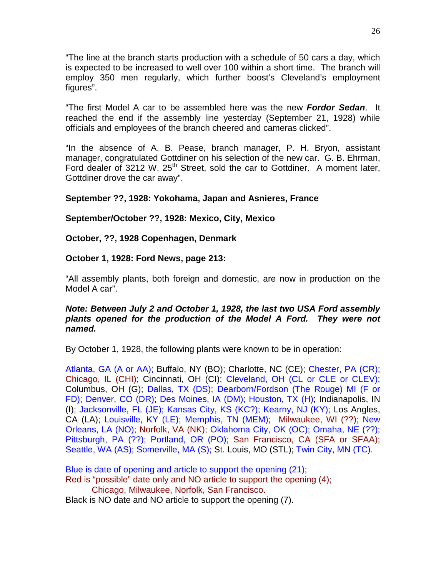"The line at the branch starts production with a schedule of 50 cars a day, which is expected to be increased to well over 100 within a short time. The branch will employ 350 men regularly, which further boost's Cleveland's employment figures".

"The first Model A car to be assembled here was the new *Fordor Sedan*. It reached the end if the assembly line yesterday (September 21, 1928) while officials and employees of the branch cheered and cameras clicked".

"In the absence of A. B. Pease, branch manager, P. H. Bryon, assistant manager, congratulated Gottdiner on his selection of the new car. G. B. Ehrman, Ford dealer of 3212 W. 25<sup>th</sup> Street, sold the car to Gottdiner. A moment later, Gottdiner drove the car away".

# **September ??, 1928: Yokohama, Japan and Asnieres, France**

# **September/October ??, 1928: Mexico, City, Mexico**

**October, ??, 1928 Copenhagen, Denmark**

# **October 1, 1928: Ford News, page 213:**

"All assembly plants, both foreign and domestic, are now in production on the Model A car".

# *Note: Between July 2 and October 1, 1928, the last two USA Ford assembly plants opened for the production of the Model A Ford. They were not named.*

By October 1, 1928, the following plants were known to be in operation:

Atlanta, GA (A or AA); Buffalo, NY (BO); Charlotte, NC (CE); Chester, PA (CR); Chicago, IL (CHI); Cincinnati, OH (CI); Cleveland, OH (CL or CLE or CLEV); Columbus, OH (G); Dallas, TX (DS); Dearborn/Fordson (The Rouge) MI (F or FD); Denver, CO (DR); Des Moines, IA (DM); Houston, TX (H); Indianapolis, IN (I); Jacksonville, FL (JE); Kansas City, KS (KC?); Kearny, NJ (KY); Los Angles, CA (LA); Louisville, KY (LE); Memphis, TN (MEM); Milwaukee, WI (??); New Orleans, LA (NO); Norfolk, VA (NK); Oklahoma City, OK (OC); Omaha, NE (??); Pittsburgh, PA (??); Portland, OR (PO); San Francisco, CA (SFA or SFAA); Seattle, WA (AS); Somerville, MA (S); St. Louis, MO (STL); Twin City, MN (TC).

Blue is date of opening and article to support the opening (21); Red is "possible" date only and NO article to support the opening (4); Chicago, Milwaukee, Norfolk, San Francisco.

Black is NO date and NO article to support the opening (7).